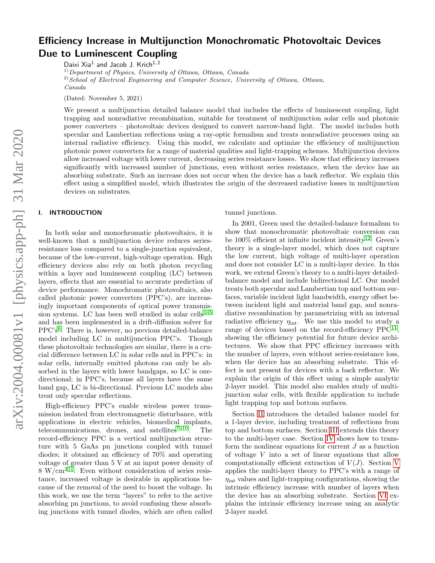# Efficiency Increase in Multijunction Monochromatic Photovoltaic Devices Due to Luminescent Coupling

Daixi Xia<sup>1</sup> and Jacob J. Krich<sup>1, 2</sup>  $1)$  Department of Physics, University of Ottawa, Ottawa, Canada  $^{2)}$ School of Electrical Engineering and Computer Science, University of Ottawa, Ottawa, Canada

(Dated: November 5, 2021)

We present a multijunction detailed balance model that includes the effects of luminescent coupling, light trapping and nonradiative recombination, suitable for treatment of multijunction solar cells and photonic power converters – photovoltaic devices designed to convert narrow-band light. The model includes both specular and Lambertian reflections using a ray-optic formalism and treats nonradiative processes using an internal radiative efficiency. Using this model, we calculate and optimize the efficiency of multijunction photonic power converters for a range of material qualities and light-trapping schemes. Multijunction devices allow increased voltage with lower current, decreasing series resistance losses. We show that efficiency increases significantly with increased number of junctions, even without series resistance, when the device has an absorbing substrate. Such an increase does not occur when the device has a back reflector. We explain this effect using a simplified model, which illustrates the origin of the decreased radiative losses in multijunction devices on substrates.

## I. INTRODUCTION

In both solar and monochromatic photovoltaics, it is well-known that a multijunction device reduces seriesresistance loss compared to a single-junction equivalent, because of the low-current, high-voltage operation. High efficiency devices also rely on both photon recycling within a layer and luminescent coupling (LC) between layers, effects that are essential to accurate prediction of device performance. Monochromatic photovoltaics, also called photonic power converters (PPC's), are increasingly important components of optical power transmis-sion systems. LC has been well studied in solar cells<sup>[1–](#page-8-0)[5](#page-9-0)</sup> and has been implemented in a drift-diffusion solver for PPC's<sup>[6](#page-9-1)</sup>. There is, however, no previous detailed-balance model including LC in multijunction PPC's. Though these photovoltaic technologies are similar, there is a crucial difference between LC in solar cells and in PPC's: in solar cells, internally emitted photons can only be absorbed in the layers with lower bandgaps, so LC is onedirectional; in PPC's, because all layers have the same band gap, LC is bi-directional. Previous LC models also treat only specular reflections.

High-efficiency PPC's enable wireless power transmission isolated from electromagnetic disturbance, with applications in electric vehicles, biomedical implants, telecommunications, drones, and satellites $7^{-10}$  $7^{-10}$  $7^{-10}$ . The record-efficiency PPC is a vertical multijunction structure with 5 GaAs pn junctions coupled with tunnel diodes; it obtained an efficiency of 70% and operating voltage of greater than 5 V at an input power density of  $8 \text{ W/cm}^{211}$  $8 \text{ W/cm}^{211}$  $8 \text{ W/cm}^{211}$ . Even without consideration of series resistance, increased voltage is desirable in applications because of the removal of the need to boost the voltage. In this work, we use the term "layers" to refer to the active absorbing pn junctions, to avoid confusing these absorbing junctions with tunnel diodes, which are often called

tunnel junctions.

In 2001, Green used the detailed-balance formalism to show that monochromatic photovoltaic conversion can be  $100\%$  efficient at infinite incident intensity<sup>[12](#page-9-5)</sup>. Green's theory is a single-layer model, which does not capture the low current, high voltage of multi-layer operation and does not consider LC in a multi-layer device. In this work, we extend Green's theory to a multi-layer detailedbalance model and include bidirectional LC. Our model treats both specular and Lambertian top and bottom surfaces, variable incident light bandwidth, energy offset between incident light and material band gap, and nonradiative recombination by parametrizing with an internal radiative efficiency  $\eta_{\text{int}}$ . We use this model to study a range of devices based on the record-efficiency  $PPC<sup>11</sup>$  $PPC<sup>11</sup>$  $PPC<sup>11</sup>$ , showing the efficiency potential for future device architectures. We show that PPC efficiency increases with the number of layers, even without series-resistance loss, when the device has an absorbing substrate. This effect is not present for devices with a back reflector. We explain the origin of this effect using a simple analytic 2-layer model. This model also enables study of multijunction solar cells, with flexible application to include light trapping top and bottom surfaces.

Section [II](#page-1-0) introduces the detailed balance model for a 1-layer device, including treatment of reflections from top and bottom surfaces. Section [III](#page-4-0) extends this theory to the multi-layer case. Section [IV](#page-5-0) shows how to transform the nonlinear equations for current  $J$  as a function of voltage V into a set of linear equations that allow computationally efficient extraction of  $V(J)$ . Section [V](#page-5-1) applies the multi-layer theory to PPC's with a range of  $\eta_{\text{int}}$  values and light-trapping configurations, showing the intrinsic efficiency increase with number of layers when the device has an absorbing substrate. Section [VI](#page-7-0) explains the intrinsic efficiency increase using an analytic 2-layer model.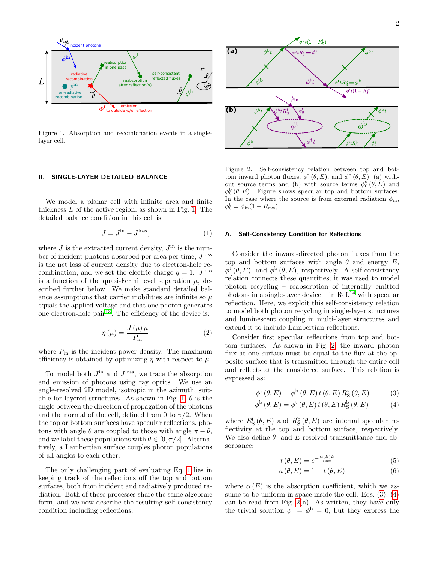

<span id="page-1-1"></span>Figure 1. Absorption and recombination events in a singlelayer cell.

### <span id="page-1-0"></span>II. SINGLE-LAYER DETAILED BALANCE

We model a planar cell with infinite area and finite thickness L of the active region, as shown in Fig. [1.](#page-1-1) The detailed balance condition in this cell is

<span id="page-1-2"></span>
$$
J = J^{\text{in}} - J^{\text{loss}},\tag{1}
$$

where  $J$  is the extracted current density,  $J^{\text{in}}$  is the number of incident photons absorbed per area per time,  $J^{\text{loss}}$ is the net loss of current density due to electron-hole recombination, and we set the electric charge  $q = 1$ . J<sup>loss</sup> is a function of the quasi-Fermi level separation  $\mu$ , described further below. We make standard detailed balance assumptions that carrier mobilities are infinite so  $\mu$ equals the applied voltage and that one photon generates one electron-hole pair<sup>[13](#page-9-6)</sup>. The efficiency of the device is:

$$
\eta(\mu) = \frac{J(\mu)\,\mu}{P_{\text{in}}} \tag{2}
$$

where  $P_{\text{in}}$  is the incident power density. The maximum efficiency is obtained by optimizing  $\eta$  with respect to  $\mu$ .

To model both  $J^{\text{in}}$  and  $J^{\text{loss}}$ , we trace the absorption and emission of photons using ray optics. We use an angle-resolved 2D model, isotropic in the azimuth, suit-able for layered structures. As shown in Fig. [1,](#page-1-1)  $\theta$  is the angle between the direction of propagation of the photons and the normal of the cell, defined from 0 to  $\pi/2$ . When the top or bottom surfaces have specular reflections, photons with angle  $\theta$  are coupled to those with angle  $\pi - \theta$ , and we label these populations with  $\theta \in [0, \pi/2]$ . Alternatively, a Lambertian surface couples photon populations of all angles to each other.

The only challenging part of evaluating Eq. [1](#page-1-2) lies in keeping track of the reflections off the top and bottom surfaces, both from incident and radiatively produced radiation. Both of these processes share the same algebraic form, and we now describe the resulting self-consistency condition including reflections.



<span id="page-1-3"></span>Figure 2. Self-consistency relation between top and bottom inward photon fluxes,  $\phi^t(\theta, E)$ , and  $\phi^b(\theta, E)$ , (a) without source terms and (b) with source terms  $\phi_0^{\mathbf{t}}(\theta, E)$  and  $\phi_0^b(\theta, E)$ . Figure shows specular top and bottom surfaces. In the case where the source is from external radiation  $\phi_{\rm in}$ ,  $\phi_0^{\rm t} = \phi_{\rm in} (1 - R_{\rm ext}).$ 

#### <span id="page-1-6"></span>A. Self-Consistency Condition for Reflections

Consider the inward-directed photon fluxes from the top and bottom surfaces with angle  $\theta$  and energy E,  $\phi^t(\theta, E)$ , and  $\phi^b(\theta, E)$ , respectively. A self-consistency relation connects these quantities; it was used to model photon recycling – reabsorption of internally emitted photons in a single-layer device – in Ref.<sup>[14](#page-9-7)</sup> with specular reflection. Here, we exploit this self-consistency relation to model both photon recycling in single-layer structures and luminescent coupling in multi-layer structures and extend it to include Lambertian reflections.

Consider first specular reflections from top and bottom surfaces. As shown in Fig. [2,](#page-1-3) the inward photon flux at one surface must be equal to the flux at the opposite surface that is transmitted through the entire cell and reflects at the considered surface. This relation is expressed as:

$$
\phi^{\mathrm{t}}\left(\theta,E\right) = \phi^{\mathrm{b}}\left(\theta,E\right)t\left(\theta,E\right)R_{\mathrm{S}}^{\mathrm{t}}\left(\theta,E\right) \tag{3}
$$

$$
\phi^{\mathbf{b}}\left(\theta,E\right) = \phi^{\mathbf{t}}\left(\theta,E\right)t\left(\theta,E\right)R_{\mathbf{S}}^{\mathbf{b}}\left(\theta,E\right) \tag{4}
$$

where  $R^{\text{t}}_{\text{S}}(\theta, E)$  and  $R^{\text{b}}_{\text{S}}(\theta, E)$  are internal specular reflectivity at the top and bottom surface, respectively. We also define  $\theta$ - and E-resolved transmittance and absorbance:

<span id="page-1-5"></span><span id="page-1-4"></span>
$$
t(\theta, E) = e^{-\frac{\alpha(E)L}{\cos \theta}} \tag{5}
$$

$$
a(\theta, E) = 1 - t(\theta, E) \tag{6}
$$

where  $\alpha(E)$  is the absorption coefficient, which we assume to be uniform in space inside the cell. Eqs.  $(3)$ ,  $(4)$ can be read from Fig.  $2(a)$ . As written, they have only the trivial solution  $\phi^t = \phi^b = 0$ , but they express the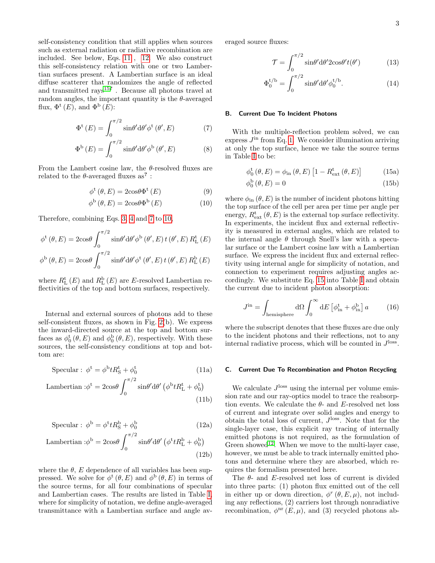self-consistency condition that still applies when sources such as external radiation or radiative recombination are included. See below, Eqs. [11](#page-2-0) , [12.](#page-2-1) We also construct this self-consistency relation with one or two Lambertian surfaces present. A Lambertian surface is an ideal diffuse scatterer that randomizes the angle of reflected and transmitted rays<sup>[15](#page-9-8)?</sup>. Because all photons travel at random angles, the important quantity is the  $\theta$ -averaged flux,  $\Phi^{\text{t}}(E)$ , and  $\Phi^{\text{b}}(E)$ :

$$
\Phi^{\mathrm{t}}\left(E\right) = \int_0^{\pi/2} \sin\theta' \mathrm{d}\theta' \phi^{\mathrm{t}}\left(\theta', E\right) \tag{7}
$$

$$
\Phi^{\mathbf{b}}\left(E\right) = \int_0^{\pi/2} \sin\theta' \mathrm{d}\theta' \phi^{\mathbf{b}}\left(\theta', E\right) \tag{8}
$$

From the Lambert cosine law, the  $\theta$ -resolved fluxes are related to the  $\theta$ -averaged fluxes as<sup>?</sup>:

$$
\phi^{\mathrm{t}}\left(\theta, E\right) = 2\mathrm{cos}\theta \Phi^{\mathrm{t}}\left(E\right) \tag{9}
$$

$$
\phi^{\mathbf{b}}\left(\theta, E\right) = 2\cos\theta \Phi^{\mathbf{b}}\left(E\right) \tag{10}
$$

Therefore, combining Eqs. [3,](#page-1-4) [4](#page-1-5) and [7](#page-2-2) to [10,](#page-2-3)

$$
\phi^{\text{t}}(\theta, E) = 2\cos\theta \int_0^{\pi/2} \sin\theta' \,d\theta' \phi^{\text{b}}(\theta', E) t(\theta', E) R^{\text{t}}_L(E)
$$

$$
\phi^{\text{b}}(\theta, E) = 2\cos\theta \int_0^{\pi/2} \sin\theta' \,d\theta' \phi^{\text{t}}(\theta', E) t(\theta', E) R^{\text{b}}_L(E)
$$

where  $R_{\text{L}}^{\text{t}}\left( E\right)$  and  $R_{\text{L}}^{\text{b}}\left( E\right)$  are E-resolved Lambertian reflectivities of the top and bottom surfaces, respectively.

Internal and external sources of photons add to these self-consistent fluxes, as shown in Fig. [2\(](#page-1-3)b). We express the inward-directed source at the top and bottom surfaces as  $\phi_0^{\rm t}(\theta, E)$  and  $\phi_0^{\rm b}(\theta, E)$ , respectively. With these sources, the self-consistency conditions at top and bottom are:

<span id="page-2-0"></span>
$$
Specular: \phi^t = \phi^b t R^t_S + \phi^t_0 \tag{11a}
$$

Lambertian :
$$
\phi^t = 2\cos\theta \int_0^{\pi/2} \sin\theta' d\theta' (\phi^b t R_L^t + \phi_0^t)
$$
 (11b)

<span id="page-2-1"></span>
$$
Specular: \phi^b = \phi^t t R^b_S + \phi^b_0 \tag{12a}
$$

Lambertian :
$$
\phi^b = 2\cos\theta \int_0^{\pi/2} \sin\theta' d\theta' \left(\phi^t t R_L^b + \phi_0^b\right)
$$
 (12b)

where the  $\theta$ , E dependence of all variables has been suppressed. We solve for  $\phi^{\text{t}}(\theta, E)$  and  $\phi^{\text{b}}(\theta, E)$  in terms of the source terms, for all four combinations of specular and Lambertian cases. The results are listed in Table [I,](#page-3-0) where for simplicity of notation, we define angle-averaged transmittance with a Lambertian surface and angle averaged source fluxes:

$$
\mathcal{T} = \int_0^{\pi/2} \sin\theta' d\theta' 2\cos\theta' t(\theta')
$$
 (13)

$$
\Phi_0^{t/b} = \int_0^{\pi/2} \sin\theta' d\theta' \phi_0^{t/b}.
$$
 (14)

#### B. Current Due To Incident Photons

<span id="page-2-2"></span>With the multiple-reflection problem solved, we can express  $J<sup>in</sup>$  from Eq. [1.](#page-1-2) We consider illumination arriving at only the top surface, hence we take the source terms in Table [I](#page-3-0) to be:

<span id="page-2-4"></span>
$$
\phi_0^{\mathrm{t}}\left(\theta, E\right) = \phi_{\mathrm{in}}\left(\theta, E\right) \left[1 - R_{\mathrm{ext}}^{\mathrm{t}}\left(\theta, E\right)\right] \tag{15a}
$$

$$
\phi_0^{\mathrm{b}}\left(\theta, E\right) = 0\tag{15b}
$$

<span id="page-2-3"></span>where  $\phi_{\text{in}}(\theta, E)$  is the number of incident photons hitting the top surface of the cell per area per time per angle per energy,  $R_{\text{ext}}^{\text{t}}(\theta, E)$  is the external top surface reflectivity. In experiments, the incident flux and external reflectivity is measured in external angles, which are related to the internal angle  $\theta$  through Snell's law with a specular surface or the Lambert cosine law with a Lambertian surface. We express the incident flux and external reflectivity using internal angle for simplicity of notation, and connection to experiment requires adjusting angles accordingly. We substitute Eq. [15](#page-2-4) into Table [I](#page-3-0) and obtain the current due to incident photon absorption:

$$
J^{\text{in}} = \int_{\text{hemisphere}} d\Omega \int_0^\infty dE \left[ \phi_{\text{in}}^{\text{t}} + \phi_{\text{in}}^{\text{b}} \right] a \tag{16}
$$

where the subscript denotes that these fluxes are due only to the incident photons and their reflections, not to any internal radiative process, which will be counted in  $J^{\text{loss}}$ .

#### <span id="page-2-5"></span>C. Current Due To Recombination and Photon Recycling

<span id="page-2-7"></span><span id="page-2-6"></span>We calculate  $J^{\text{loss}}$  using the internal per volume emission rate and our ray-optics model to trace the reabsorption events. We calculate the  $\theta$ - and E-resolved net loss of current and integrate over solid angles and energy to obtain the total loss of current,  $J^{\text{loss}}$ . Note that for the single-layer case, this explicit ray tracing of internally emitted photons is not required, as the formulation of Green showed<sup>[12](#page-9-5)</sup>. When we move to the multi-layer case, however, we must be able to track internally emitted photons and determine where they are absorbed, which requires the formalism presented here.

<span id="page-2-8"></span>The  $\theta$ - and E-resolved net loss of current is divided into three parts: (1) photon flux emitted out of the cell in either up or down direction,  $\phi^r(\theta, E, \mu)$ , not including any reflections, (2) carriers lost through nonradiative recombination,  $\phi^{\text{nr}}(E,\mu)$ , and (3) recycled photons ab-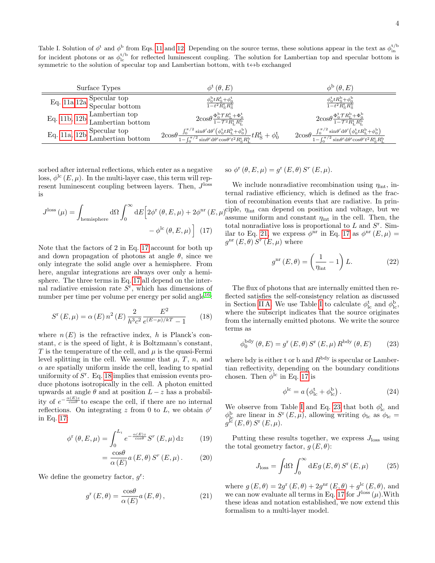<span id="page-3-0"></span>Table I. Solution of  $\phi^t$  and  $\phi^b$  from Eqs. [11](#page-2-0) and [12.](#page-2-1) Depending on the source terms, these solutions appear in the text as  $\phi_{in}^{t/b}$  for incident photons or as  $\phi_{ic}^{t/b}$  for reflected luminescent coupling. The s symmetric to the solution of specular top and Lambertian bottom, with  $t \leftrightarrow b$  exchanged

| Surface Types                                                       | $\phi^{\rm t}(\theta,E)$                                                                                                                                                                                                                                                                                                                                      | $\phi^{\rm b}(\theta,E)$                                                                                                                                                                                                                                                                                 |
|---------------------------------------------------------------------|---------------------------------------------------------------------------------------------------------------------------------------------------------------------------------------------------------------------------------------------------------------------------------------------------------------------------------------------------------------|----------------------------------------------------------------------------------------------------------------------------------------------------------------------------------------------------------------------------------------------------------------------------------------------------------|
| Eq. 11a,12a Specular top<br>Specular bottom                         | $\frac{\phi_0^{\rm b} t R_{\rm S}^{\rm t} + \phi_0^{\rm t}}{1 - t^2 R_{\rm S}^{\rm t} R_{\rm S}^{\rm b}}$                                                                                                                                                                                                                                                     | $\frac{\phi_0^{\rm t} t R_{\rm S}^{\rm b} + \phi_0^{\rm b}}{1 - t^2 R_{\rm S}^{\rm t} R_{\rm S}^{\rm b}}$                                                                                                                                                                                                |
| Eq. 11b, $12b$ Lambertian top<br>Lambertian bottom                  | $2\cos\theta \frac{\Phi_0^{\rm b} \mathcal{T} R_{\rm L}^{\rm t} + \Phi_0^{\rm t}}{1-\mathcal{T}^2 R_{\rm t}^{\rm t} R_{\rm r}^{\rm b}}$                                                                                                                                                                                                                       | $2\cos\theta \frac{\Phi_0^{\rm t} \mathcal{T} R_{\rm L}^{\rm b} + \Phi_0^{\rm b}}{1-\mathcal{T}^2 R_{\rm t}^{\rm t} R_{\rm r}^{\rm b}}$                                                                                                                                                                  |
| Eq. 11a, 12b $\frac{\text{Specular top}}{\text{Lambertian bottom}}$ | $2\mathrm{cos}\theta \tfrac{\int_0^{\pi/2} \mathrm{sin}\theta' \mathrm{d}\theta' \left( \phi_0^{\mathrm{t}} t R_\mathrm{L}^{\mathrm{b}} + \phi_0^{\mathrm{b}} \right)}{1-\int_0^{\pi/2} \mathrm{sin}\theta' \mathrm{d}\theta' \mathrm{cos}\theta' t^2 R_\mathrm{S}^{\mathrm{t}} R_\mathrm{L}^{\mathrm{b}}} t R_\mathrm{S}^{\mathrm{t}} + \phi_0^{\mathrm{t}}$ | $2\mathrm{cos}\theta \frac{\int_0^{\pi/2} \mathrm{sin}\theta' \mathrm{d}\theta' \left(\phi_0^{\mathrm{t}} t R_\mathrm{L}^{\mathrm{b}} + \phi_0^{\mathrm{b}}\right)}{1-\int_0^{\pi/2} \mathrm{sin}\theta' \mathrm{d}\theta' \mathrm{cos}\theta' t^2 R_\mathrm{S}^{\mathrm{t}} R_\mathrm{L}^{\mathrm{b}}}$ |

sorbed after internal reflections, which enter as a negative loss,  $\phi^{\text{lc}}(E,\mu)$ . In the multi-layer case, this term will represent luminescent coupling between layers. Then,  $J^{\text{loss}}$ is

$$
J^{\text{loss}}\left(\mu\right) = \int_{\text{hemisphere}} d\Omega \int_0^\infty dE \Big[ 2\phi^{\text{r}}\left(\theta, E, \mu\right) + 2\phi^{\text{nr}}\left(E, \right. \\ \left. - \phi^{\text{lc}}\left(\theta, E, \mu\right) \Big] \tag{17}
$$

Note that the factors of 2 in Eq. [17](#page-3-1) account for both up and down propagation of photons at angle  $\theta$ , since we only integrate the solid angle over a hemisphere. From here, angular integrations are always over only a hemisphere. The three terms in Eq. [17](#page-3-1) all depend on the internal radiative emission rate  $S<sup>r</sup>$ , which has dimensions of number per time per volume per energy per solid angle<sup>[16](#page-9-9)</sup>:

<span id="page-3-2"></span>
$$
S^{r}(E,\mu) = \alpha(E) n^{2}(E) \frac{2}{h^{3}c^{2}} \frac{E^{2}}{e^{(E-\mu)/kT} - 1}
$$
 (18)

where  $n(E)$  is the refractive index, h is Planck's constant,  $c$  is the speed of light,  $k$  is Boltzmann's constant, T is the temperature of the cell, and  $\mu$  is the quasi-Fermi level splitting in the cell. We assume that  $\mu$ , T, n, and  $\alpha$  are spatially uniform inside the cell, leading to spatial uniformity of  $S<sup>r</sup>$ . Eq. [18](#page-3-2) implies that emission events produce photons isotropically in the cell. A photon emitted upwards at angle  $\theta$  and at position  $L - z$  has a probability of  $e^{-\frac{\alpha(E)z}{\cos\theta}}$  to escape the cell, if there are no internal reflections. On integrating z from 0 to L, we obtain  $\phi^r$ in Eq. [17:](#page-3-1)

$$
\phi^{\mathrm{r}}\left(\theta, E, \mu\right) = \int_0^{L_i} e^{-\frac{\alpha(E)z}{\cos\theta}} S^r\left(E, \mu\right) \mathrm{d}z \tag{19}
$$

$$
=\frac{\cos\theta}{\alpha(E)}a(E,\theta)S^{r}(E,\mu).
$$
 (20)

We define the geometry factor,  $g^r$ :

<span id="page-3-3"></span>
$$
g^{r}(E,\theta) = \frac{\cos\theta}{\alpha(E)} a(E,\theta), \qquad (21)
$$

so  $\phi^{\text{r}}(\theta, E, \mu) = g^{\text{r}}(E, \theta) S^r(E, \mu).$ 

<span id="page-3-1"></span>nr  $(E, \mu)$ ciple,  $\eta_{int}$  can depend on position and voltage, but we We include nonradiative recombination using  $\eta_{\text{int}}$ , internal radiative efficiency, which is defined as the fraction of recombination events that are radiative. In prinassume uniform and constant  $\eta_{\text{int}}$  in the cell. Then, the total nonradiative loss is proportional to  $L$  and  $S<sup>r</sup>$ . Sim-ilar to Eq. [21,](#page-3-3) we express  $\phi^{\text{nr}}$  in Eq. [17](#page-3-1) as  $\phi^{\text{nr}}(E,\mu) =$  $g^{\text{nr}}(E,\theta) S^{r}(E,\mu)$  where

<span id="page-3-6"></span>
$$
g^{\rm nr}(E,\theta) = \left(\frac{1}{\eta_{\rm int}} - 1\right)L.
$$
 (22)

The flux of photons that are internally emitted then reflected satisfies the self-consistency relation as discussed in Section [II A.](#page-1-6) We use Table [I](#page-3-0) to calculate  $\phi_{lc}^t$  and  $\phi_{lc}^b$ , where the subscript indicates that the source originates from the internally emitted photons. We write the source terms as

$$
\phi_0^{\text{bdy}}\left(\theta, E\right) = g^{\text{r}}\left(E, \theta\right) S^{\text{r}}\left(E, \mu\right) R^{\text{bdy}}\left(\theta, E\right) \tag{23}
$$

where bdy is either t or b and  $R^{\text{bdy}}$  is specular or Lambertian reflectivity, depending on the boundary conditions chosen. Then  $\phi^{\text{lc}}$  in Eq. [17](#page-3-1) is

<span id="page-3-4"></span>
$$
\phi^{\rm lc} = a \left( \phi_{\rm lc}^{\rm t} + \phi_{\rm lc}^{\rm b} \right). \tag{24}
$$

We observe from Table [I](#page-3-0) and Eq. [23](#page-3-4) that both  $\phi_{lc}^t$  and  $\phi_{\rm lc}^{\rm b}$  are linear in  $S^{\rm r}(E,\mu)$ , allowing writing  $\phi_{\rm lc}$  as  $\phi_{\rm lc}$  $g^{\rm I\bar c}\left(E,\theta\right)S^{\rm r}\left(E,\mu\right).$ 

Putting these results together, we express  $J<sub>loss</sub>$  using the total geometry factor,  $g(E, \theta)$ :

<span id="page-3-5"></span>
$$
J_{\text{loss}} = \int d\Omega \int_0^\infty dE g(E, \theta) S^{\text{r}}(E, \mu) \tag{25}
$$

where  $g(E, \theta) = 2g^{\text{r}}(E, \theta) + 2g^{\text{nr}}(E, \theta) + g^{\text{lc}}(E, \theta)$ , and we can now evaluate all terms in Eq. [17](#page-3-1) for  $J^{\text{loss}}(\mu)$ . With these ideas and notation established, we now extend this formalism to a multi-layer model.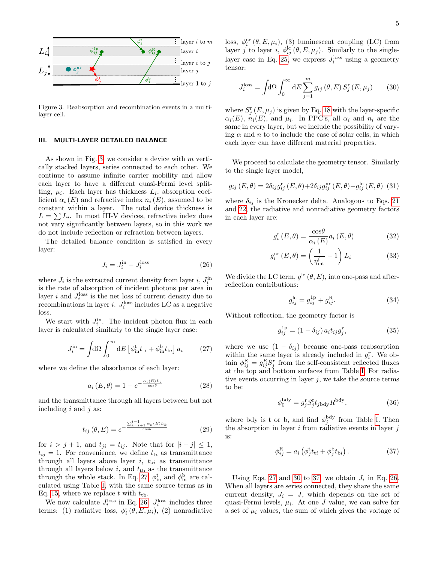

<span id="page-4-1"></span>Figure 3. Reabsorption and recombination events in a multilayer cell.

### <span id="page-4-0"></span>III. MULTI-LAYER DETAILED BALANCE

As shown in Fig. [3,](#page-4-1) we consider a device with m vertically stacked layers, series connected to each other. We continue to assume infinite carrier mobility and allow each layer to have a different quasi-Fermi level splitting,  $\mu_i$ . Each layer has thickness  $L_i$ , absorption coefficient  $\alpha_i(E)$  and refractive index  $n_i(E)$ , assumed to be constant within a layer. The total device thickness is  $L = \sum L_i$ . In most III-V devices, refractive index does not vary significantly between layers, so in this work we do not include reflection or refraction between layers.

The detailed balance condition is satisfied in every layer:

<span id="page-4-3"></span>
$$
J_i = J_i^{\text{in}} - J_i^{\text{loss}} \tag{26}
$$

where  $J_i$  is the extracted current density from layer *i*,  $J_i^{\text{in}}$ is the rate of absorption of incident photons per area in layer *i* and  $J_i^{\text{loss}}$  is the net loss of current density due to recombinations in layer *i*.  $J_i^{\text{loss}}$  includes LC as a negative loss.

We start with  $J_i^{\text{in}}$ . The incident photon flux in each layer is calculated similarly to the single layer case:

<span id="page-4-2"></span>
$$
J_i^{\text{in}} = \int d\Omega \int_0^\infty dE \left[ \phi_{\text{in}}^{\text{t}} t_{ti} + \phi_{\text{in}}^{\text{b}} t_{\text{b}i} \right] a_i \tag{27}
$$

where we define the absorbance of each layer:

$$
a_i(E, \theta) = 1 - e^{-\frac{\alpha_i(E)L_i}{\cos \theta}}
$$
 (28)

and the transmittance through all layers between but not including  $i$  and  $j$  as:

$$
t_{ij}(\theta, E) = e^{-\frac{\sum_{k=i+1}^{j-1} \alpha_k(E)L_k}{\cos \theta}}
$$
(29)

for  $i > j + 1$ , and  $t_{ji} = t_{ij}$ . Note that for  $|i - j| \leq 1$ ,  $t_{ij} = 1$ . For convenience, we define  $t_{ti}$  as transmittance through all layers above layer  $i$ ,  $t_{\text{b}i}$  as transmittance through all layers below  $i$ , and  $t_{\text{tb}}$  as the transmittance through the whole stack. In Eq. [27,](#page-4-2)  $\phi_{\text{in}}^{\text{t}}$  and  $\phi_{\text{in}}^{\text{b}}$  are calculated using Table [I,](#page-3-0) with the same source terms as in Eq. [15,](#page-2-4) where we replace t with  $t_{\text{th}}$ .

We now calculate  $J_i^{\text{loss}}$  in Eq. [26.](#page-4-3)  $J_i^{\text{loss}}$  includes three terms: (1) radiative loss,  $\phi_i^r(\theta, E, \mu_i)$ , (2) nonradiative

loss,  $\phi_i^{\text{nr}}(\theta, E, \mu_i)$ , (3) luminescent coupling (LC) from layer j to layer i,  $\phi_{ij}^{\text{lc}}(\theta, E, \mu_j)$ . Similarly to the single-layer case in Eq. [25,](#page-3-5) we express  $J_i^{\text{loss}}$  using a geometry tensor:

<span id="page-4-4"></span>
$$
J_i^{\text{loss}} = \int d\Omega \int_0^\infty dE \sum_{j=1}^m g_{ij} (\theta, E) S_j^{\text{r}} (E, \mu_j) \qquad (30)
$$

where  $S_j^{\rm r}(E,\mu_j)$  is given by Eq. [18](#page-3-2) with the layer-specific  $\alpha_i(E)$ ,  $n_i(E)$ , and  $\mu_i$ . In PPC's, all  $\alpha_i$  and  $n_i$  are the same in every layer, but we include the possibility of varying  $\alpha$  and n to to include the case of solar cells, in which each layer can have different material properties.

We proceed to calculate the geometry tensor. Similarly to the single layer model,

$$
g_{ij}(E,\theta) = 2\delta_{ij}g_{ij}^{\rm r}(E,\theta) + 2\delta_{ij}g_{ij}^{\rm nr}(E,\theta) - g_{ij}^{\rm lc}(E,\theta)
$$
 (31)

where  $\delta_{ij}$  is the Kronecker delta. Analogous to Eqs. [21](#page-3-3) and [22,](#page-3-6) the radiative and nonradiative geometry factors in each layer are:

$$
g_i^{\rm r}(E,\theta) = \frac{\cos\theta}{\alpha_i(E)} a_i(E,\theta)
$$
 (32)

$$
g_i^{\text{nr}}(E,\theta) = \left(\frac{1}{\eta_{\text{int}}^i} - 1\right) L_i \tag{33}
$$

We divide the LC term,  $g^{\text{lc}}(\theta, E)$ , into one-pass and afterreflection contributions:

$$
g_{ij}^{\text{lc}} = g_{ij}^{\text{1p}} + g_{ij}^{\text{R}}.
$$
 (34)

Without reflection, the geometry factor is

$$
g_{ij}^{1p} = (1 - \delta_{ij}) a_i t_{ij} g_j^r, \tag{35}
$$

where we use  $(1 - \delta_{ij})$  because one-pass reabsorption within the same layer is already included in  $g_i^r$ . We obtain  $\phi_{ij}^{\text{R}} = g_{ij}^R S_j^r$  from the self-consistent reflected fluxes at the top and bottom surfaces from Table [I.](#page-3-0) For radiative events occurring in layer  $j$ , we take the source terms to be:

$$
\phi_0^{\text{bdy}} = g_j^{\text{r}} S_j^{\text{r}} t_{j\text{bdy}} R^{\text{bdy}},\tag{36}
$$

where bdy is t or b, and find  $\phi_j^{\text{bdy}}$  from Table [I.](#page-3-0) Then the absorption in layer  $i$  from radiative events in layer  $j$ is:

<span id="page-4-5"></span>
$$
\phi_{ij}^{\mathcal{R}} = a_i \left( \phi_j^{\mathbf{t}} t_{ii} + \phi_j^{\mathbf{b}} t_{bi} \right). \tag{37}
$$

Using Eqs. [27](#page-4-2) and [30](#page-4-4) to [37,](#page-4-5) we obtain  $J_i$  in Eq. [26.](#page-4-3) When all layers are series connected, they share the same current density,  $J_i = J$ , which depends on the set of quasi-Fermi levels,  $\mu_i$ . At one J value, we can solve for a set of  $\mu_i$  values, the sum of which gives the voltage of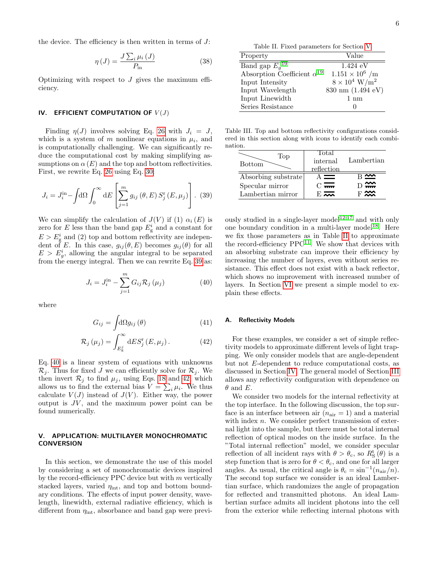the device. The efficiency is then written in terms of  $J$ :

$$
\eta\left(J\right) = \frac{J\sum_{i}\mu_{i}\left(J\right)}{P_{\text{in}}} \tag{38}
$$

Optimizing with respect to  $J$  gives the maximum efficiency.

## <span id="page-5-0"></span>IV. EFFICIENT COMPUTATION OF  $V(J)$

Finding  $\eta(J)$  involves solving Eq. [26](#page-4-3) with  $J_i = J$ , which is a system of m nonlinear equations in  $\mu_i$ , and is computationally challenging. We can significantly reduce the computational cost by making simplifying assumptions on  $\alpha(E)$  and the top and bottom reflectivities. First, we rewrite Eq. [26](#page-4-3) using Eq. [30:](#page-4-4)

<span id="page-5-2"></span>
$$
J_i = J_i^{\text{in}} - \int d\Omega \int_0^\infty dE \left[ \sum_{j=1}^m g_{ij} (\theta, E) S_j^{\text{r}} (E, \mu_j) \right].
$$
 (39)

We can simplify the calculation of  $J(V)$  if (1)  $\alpha_i(E)$  is zero for E less than the band gap  $E_{\rm g}^i$  and a constant for  $E > E_g^i$  and (2) top and bottom reflectivity are independent of E. In this case,  $g_{ij}(\theta, E)$  becomes  $g_{ij}(\theta)$  for all  $E > E_g^i$ , allowing the angular integral to be separated from the energy integral. Then we can rewrite Eq. [39](#page-5-2) as:

<span id="page-5-3"></span>
$$
J_i = J_i^{\text{in}} - \sum_{j=1}^{m} G_{ij} \mathcal{R}_j \left( \mu_j \right) \tag{40}
$$

where

$$
G_{ij} = \int d\Omega g_{ij} \left(\theta\right) \tag{41}
$$

$$
\mathcal{R}_{j}(\mu_{j}) = \int_{E_{g}^{j}}^{\infty} dE S_{j}^{r}(E, \mu_{j}). \qquad (42)
$$

Eq. [40](#page-5-3) is a linear system of equations with unknowns  $\mathcal{R}_j$ . Thus for fixed J we can efficiently solve for  $\mathcal{R}_j$ . We then invert  $\mathcal{R}_j$  to find  $\mu_j$ , using Eqs. [18](#page-3-2) and [42,](#page-5-4) which allows us to find the external bias  $V = \sum_i \mu_i$ . We thus calculate  $V(J)$  instead of  $J(V)$ . Either way, the power output is  $JV$ , and the maximum power point can be found numerically.

## <span id="page-5-1"></span>V. APPLICATION: MULTILAYER MONOCHROMATIC **CONVERSION**

In this section, we demonstrate the use of this model by considering a set of monochromatic devices inspired by the record-efficiency PPC device but with m vertically stacked layers, varied  $\eta_{\text{int}}$ , and top and bottom boundary conditions. The effects of input power density, wavelength, linewidth, external radiative efficiency, which is different from  $\eta_{\text{int}}$ , absorbance and band gap were previ-

Table II. Fixed parameters for Section [V](#page-5-1)

<span id="page-5-5"></span>

| Property                             | Value                            |
|--------------------------------------|----------------------------------|
| Band gap $E_q^{19}$                  | $1.424 \text{ eV}$               |
| Absorption Coefficient $\alpha^{19}$ | $1.151 \times 10^6$ /m           |
| Input Intensity                      | $8 \times 10^4$ W/m <sup>2</sup> |
| Input Wavelength                     | 830 nm (1.494 eV)                |
| Input Linewidth                      | $1 \text{ nm}$                   |
| Series Resistance                    | 0                                |

<span id="page-5-6"></span>Table III. Top and bottom reflectivity configurations considered in this section along with icons to identify each combination.

| Top <sup>1</sup><br><b>Bottom</b> | Total<br>internal<br>reflection | Lambertian                |
|-----------------------------------|---------------------------------|---------------------------|
| Absorbing substrate               |                                 |                           |
| Specular mirror                   | $\Gamma$ $\overline{mn}$        | $\rightarrow \rightarrow$ |
| Lambertian mirror                 | $F_{\text{max}}$                |                           |

ously studied in a single-layer model<sup>[12](#page-9-5)[,17](#page-9-11)</sup> and with only one boundary condition in a multi-layer model<sup>[18](#page-9-12)</sup>. Here we fix those parameters as in Table [II](#page-5-5) to approximate the record-efficiency  $PPC<sup>11</sup>$  $PPC<sup>11</sup>$  $PPC<sup>11</sup>$ . We show that devices with an absorbing substrate can improve their efficiency by increasing the number of layers, even without series resistance. This effect does not exist with a back reflector, which shows no improvement with increased number of layers. In Section [VI](#page-7-0) we present a simple model to explain these effects.

### A. Reflectivity Models

<span id="page-5-4"></span>For these examples, we consider a set of simple reflectivity models to approximate different levels of light trapping. We only consider models that are angle-dependent but not E-dependent to reduce computational costs, as discussed in Section [IV.](#page-5-0) The general model of Section [III](#page-4-0) allows any reflectivity configuration with dependence on  $\theta$  and E.

We consider two models for the internal reflectivity at the top interface. In the following discussion, the top surface is an interface between air  $(n_{\text{air}} = 1)$  and a material with index  $n$ . We consider perfect transmission of external light into the sample, but there must be total internal reflection of optical modes on the inside surface. In the "Total internal reflection" model, we consider specular reflection of all incident rays with  $\theta > \theta_c$ , so  $R_S^{\text{t}}(\theta)$  is a step function that is zero for  $\theta < \theta_c$ , and one for all larger angles. As usual, the critical angle is  $\theta_c = \sin^{-1}(n_{\text{air}}/n)$ . The second top surface we consider is an ideal Lambertian surface, which randomizes the angle of propagation for reflected and transmitted photons. An ideal Lambertian surface admits all incident photons into the cell from the exterior while reflecting internal photons with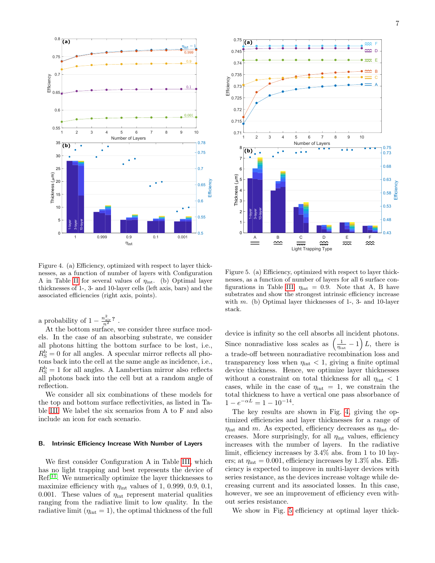



<span id="page-6-0"></span>Figure 4. (a) Efficiency, optimized with respect to layer thicknesses, as a function of number of layers with Configuration A in Table [II](#page-5-5) for several values of  $\eta_{\text{int}}$ . (b) Optimal layer thicknesses of 1-, 3- and 10-layer cells (left axis, bars) and the associated efficiencies (right axis, points).

a probability of  $1 - \frac{n_{\text{air}}^2}{n^2}$ .

At the bottom surface, we consider three surface models. In the case of an absorbing substrate, we consider all photons hitting the bottom surface to be lost, i.e.,  $R_{\rm S}^{\rm b}=0$  for all angles. A specular mirror reflects all photons back into the cell at the same angle as incidence, i.e.,  $R_{\rm S}^{\rm b}=1$  for all angles. A Lambertian mirror also reflects all photons back into the cell but at a random angle of reflection.

We consider all six combinations of these models for the top and bottom surface reflectivities, as listed in Table [III.](#page-5-6) We label the six scenarios from A to F and also include an icon for each scenario.

## B. Intrinsic Efficiency Increase With Number of Layers

We first consider Configuration A in Table [III,](#page-5-6) which has no light trapping and best represents the device of Ref.<sup>[11](#page-9-4)</sup>. We numerically optimize the layer thicknesses to maximize efficiency with  $\eta_{\text{int}}$  values of 1, 0.999, 0.9, 0.1, 0.001. These values of  $\eta_{\text{int}}$  represent material qualities ranging from the radiative limit to low quality. In the radiative limit  $(\eta_{\text{int}} = 1)$ , the optimal thickness of the full

<span id="page-6-1"></span>Figure 5. (a) Efficiency, optimized with respect to layer thicknesses, as a function of number of layers for all 6 surface con-figurations in Table [III.](#page-5-6)  $\eta_{int} = 0.9$ . Note that A, B have substrates and show the strongest intrinsic efficiency increase with  $m$ . (b) Optimal layer thicknesses of 1-, 3- and 10-layer stack.

device is infinity so the cell absorbs all incident photons. Since nonradiative loss scales as  $\left(\frac{1}{\eta_{\text{int}}} - 1\right)L$ , there is a trade-off between nonradiative recombination loss and transparency loss when  $\eta_{\text{int}} < 1$ , giving a finite optimal device thickness. Hence, we optimize layer thicknesses without a constraint on total thickness for all  $\eta_{\text{int}} < 1$ cases, while in the case of  $\eta_{\text{int}} = 1$ , we constrain the total thickness to have a vertical one pass absorbance of  $1 - e^{-\alpha L} = 1 - 10^{-14}.$ 

The key results are shown in Fig. [4,](#page-6-0) giving the optimized efficiencies and layer thicknesses for a range of  $\eta_{\text{int}}$  and m. As expected, efficiency decreases as  $\eta_{\text{int}}$  decreases. More surprisingly, for all  $\eta_{\text{int}}$  values, efficiency increases with the number of layers. In the radiative limit, efficiency increases by 3.4% abs. from 1 to 10 layers; at  $\eta_{\text{int}} = 0.001$ , efficiency increases by 1.3% abs. Efficiency is expected to improve in multi-layer devices with series resistance, as the devices increase voltage while decreasing current and its associated losses. In this case, however, we see an improvement of efficiency even without series resistance.

We show in Fig. [5](#page-6-1) efficiency at optimal layer thick-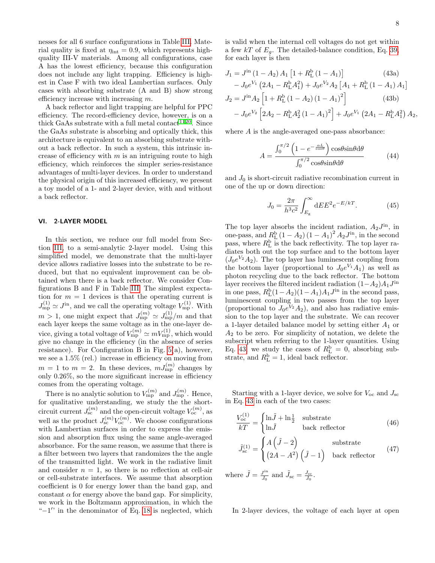nesses for all 6 surface configurations in Table [III.](#page-5-6) Material quality is fixed at  $\eta_{\text{int}} = 0.9$ , which represents highquality III-V materials. Among all configurations, case A has the lowest efficiency, because this configuration does not include any light trapping. Efficiency is highest in Case F with two ideal Lambertian surfaces. Only cases with absorbing substrate (A and B) show strong efficiency increase with increasing  $m$ .

A back reflector and light trapping are helpful for PPC efficiency. The record-efficiency device, however, is on a thick GaAs substrate with a full metal contact  $^{1120}\!.$  $^{1120}\!.$  $^{1120}\!.$  $^{1120}\!.$  Since the GaAs substrate is absorbing and optically thick, this architecture is equivalent to an absorbing substrate without a back reflector. In such a system, this intrinsic increase of efficiency with  $m$  is an intriguing route to high efficiency, which reinforces the simpler series-resistance advantages of multi-layer devices. In order to understand the physical origin of this increased efficiency, we present a toy model of a 1- and 2-layer device, with and without a back reflector.

#### <span id="page-7-0"></span>VI. 2-LAYER MODEL

In this section, we reduce our full model from Section [III,](#page-4-0) to a semi-analytic 2-layer model. Using this simplified model, we demonstrate that the multi-layer device allows radiative losses into the substrate to be reduced, but that no equivalent improvement can be obtained when there is a back reflector. We consider Configurations B and F in Table [III.](#page-5-6) The simplest expectation for  $m = 1$  devices is that the operating current is  $J_{\rm mp}^{(1)} \simeq J^{\rm in}$ , and we call the operating voltage  $V_{\rm mp}^{(1)}$ . With  $m > 1$ , one might expect that  $J_{\text{mp}}^{(m)} \simeq J_{\text{mp}}^{(1)}/m$  and that each layer keeps the same voltage as in the one-layer device, giving a total voltage of  $V_{\text{mp}}^{(m)} \simeq mV_{\text{mp}}^{(1)}$ , which would give no change in the efficiency (in the absence of series resistance). For Configuration B in Fig. [5\(](#page-6-1)a), however, we see a 1.5% (rel.) increase in efficiency on moving from  $m = 1$  to  $m = 2$ . In these devices,  $m J_{\rm mp}^{(m)}$  changes by only  $0.26\%$ , so the more significant increase in efficiency comes from the operating voltage.

There is no analytic solution to  $V_{\text{mp}}^{(m)}$  and  $J_{\text{mp}}^{(m)}$ . Hence, for qualitative understanding, we study the the shortcircuit current  $J_{\rm sc}^{(m)}$  and the open-circuit voltage  $V_{\rm oc}^{(m)}$ , as well as the product  $J_{\rm sc}^{(m)}V_{\rm oc}^{(m)}$ . We choose configurations with Lambertian surfaces in order to express the emission and absorption flux using the same angle-averaged absorbance. For the same reason, we assume that there is a filter between two layers that randomizes the the angle of the transmitted light. We work in the radiative limit and consider  $n = 1$ , so there is no reflection at cell-air or cell-substrate interfaces. We assume that absorption coefficient is 0 for energy lower than the band gap, and constant  $\alpha$  for energy above the band gap. For simplicity, we work in the Boltzmann approximation, in which the " $-1$ " in the denominator of Eq. [18](#page-3-2) is neglected, which

<span id="page-7-1"></span>is valid when the internal cell voltages do not get within a few  $kT$  of  $E<sub>g</sub>$ . The detailed-balance condition, Eq. [39,](#page-5-2) for each layer is then

$$
J_1 = J^{\text{in}} (1 - A_2) A_1 [1 + R_{\text{L}}^{\text{b}} (1 - A_1)] \qquad (43a)
$$
  
\n
$$
- J_0 e^{V_1} (2A_1 - R_{\text{L}}^{\text{b}} A_1^2) + J_0 e^{V_2} A_2 [A_1 + R_{\text{L}}^{\text{b}} (1 - A_1) A_1]
$$
  
\n
$$
J_2 = J^{\text{in}} A_2 [1 + R_{\text{L}}^{\text{b}} (1 - A_2) (1 - A_1)^2] \qquad (43b)
$$
  
\n
$$
- J_0 e^{V_2} [2A_2 - R_{\text{L}}^{\text{b}} A_2^2 (1 - A_1)^2] + J_0 e^{V_1} (2A_1 - R_{\text{L}}^{\text{b}} A_1^2) A_2,
$$

where A is the angle-averaged one-pass absorbance:

$$
A = \frac{\int_0^{\pi/2} \left(1 - e^{-\frac{\alpha L}{\cos \theta}}\right) \cos \theta \sin \theta \, d\theta}{\int_0^{\pi/2} \cos \theta \sin \theta \, d\theta} \tag{44}
$$

and  $J_0$  is short-circuit radiative recombination current in one of the up or down direction:

$$
J_0 = \frac{2\pi}{h^3 c^2} \int_{E_{\rm g}}^{\infty} dE E^2 e^{-E/kT}.
$$
 (45)

The top layer absorbs the incident radiation,  $A_2 J^{\text{in}}$ , in one-pass, and  $R_{\rm L}^{\rm b}(1-A_2)(1-A_1)^2\,A_2J^{\rm in}$ , in the second pass, where  $R_{\rm L}^{\rm b}$  is the back reflectivity. The top layer radiates both out the top surface and to the bottom layer  $(J_0e^{V_2}A_2)$ . The top layer has luminescent coupling from the bottom layer (proportional to  $J_0e^{V_1}A_1$ ) as well as photon recycling due to the back reflector. The bottom layer receives the filtered incident radiation  $(1-A_2)A_1J^{\text{in}}$ in one pass,  $R_{\rm L}^{\rm b}(1-A_2)(1-A_1)A_1J^{\rm in}$  in the second pass, luminescent coupling in two passes from the top layer (proportional to  $J_0e^{V_2}A_2$ ), and also has radiative emission to the top layer and the substrate. We can recover a 1-layer detailed balance model by setting either  $A_1$  or  $A_2$  to be zero. For simplicity of notation, we delete the subscript when referring to the 1-layer quantities. Using Eq. [43,](#page-7-1) we study the cases of  $R_{\rm L}^{\rm b} = 0$ , absorbing substrate, and  $R_{\rm L}^{\rm b}=1$ , ideal back reflector.

Starting with a 1-layer device, we solve for  $V_{\text{oc}}$  and  $J_{\text{sc}}$ in Eq. [43](#page-7-1) in each of the two cases:

$$
\frac{V_{oc}^{(1)}}{kT} = \begin{cases} \ln \tilde{J} + \ln \frac{1}{2} & \text{substrate} \\ \ln \tilde{J} & \text{back reflector} \end{cases}
$$
 (46)

$$
\tilde{J}_{\rm sc}^{(1)} = \begin{cases}\nA\left(\tilde{J} - 2\right) & \text{substrate} \\
\left(2A - A^2\right)\left(\tilde{J} - 1\right) & \text{back reflector}\n\end{cases} (47)
$$

where  $\tilde{J} = \frac{J^{\text{in}}}{I_0}$  $\frac{J^{\text{in}}}{J_0}$  and  $\tilde{J}_{\text{sc}} = \frac{J_{\text{sc}}}{J_0}$ .

In 2-layer devices, the voltage of each layer at open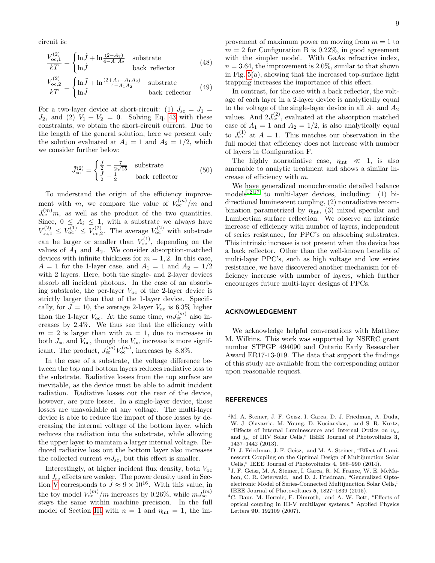circuit is:

$$
\frac{V_{\text{oc},1}^{(2)}}{kT} = \begin{cases} \ln \tilde{J} + \ln \frac{(2-A_2)}{4-A_1A_2} & \text{substrate} \\ \ln \tilde{J} & \text{back reflector} \end{cases} \tag{48}
$$
\n
$$
\frac{V_{\text{oc},2}^{(2)}}{kT} = \begin{cases} \ln \tilde{J} + \ln \frac{(2+A_1-A_1A_2)}{4-A_1A_2} & \text{substrate} \\ \ln \tilde{J} & \text{back reflector} \end{cases} \tag{49}
$$

For a two-layer device at short-circuit: (1)  $J_{\rm sc} = J_1$  =  $J_2$ , and (2)  $V_1 + V_2 = 0$ . Solving Eq. [43](#page-7-1) with these constraints, we obtain the short-circuit current. Due to the length of the general solution, here we present only the solution evaluated at  $A_1 = 1$  and  $A_2 = 1/2$ , which we consider further below:

$$
\tilde{J}_{\rm sc}^{(2)} = \begin{cases} \frac{\tilde{J}}{2} - \frac{7}{2\sqrt{15}} & \text{substrate} \\ \frac{\tilde{J}}{2} - \frac{1}{2} & \text{back reflector} \end{cases}
$$
 (50)

To understand the origin of the efficiency improvement with m, we compare the value of  $V_{oc}^{(m)}/m$  and  $J_{\rm sc}^{(m)}$  m, as well as the product of the two quantities. Since,  $0 \leq A_i \leq 1$ , with a substrate we always have  $V_{\text{oc},1}^{(2)} \leq V_{\text{oc}}^{(1)} \leq V_{\text{oc},2}^{(2)}$ . The average  $V_{\text{oc}}^{(2)}$  with substrate can be larger or smaller than  $V_{oc}^{(1)}$ , depending on the values of  $A_1$  and  $A_2$ . We consider absorption-matched devices with infinite thickness for  $m = 1, 2$ . In this case,  $A = 1$  for the 1-layer case, and  $A_1 = 1$  and  $A_2 = 1/2$ with 2 layers. Here, both the single- and 2-layer devices absorb all incident photons. In the case of an absorbing substrate, the per-layer  $V_{\text{oc}}$  of the 2-layer device is strictly larger than that of the 1-layer device. Specifically, for  $\tilde{J} = 10$ , the average 2-layer  $V_{\text{oc}}$  is 6.3% higher than the 1-layer  $V_{\text{oc}}$ . At the same time,  $mJ_{\text{sc}}^{(m)}$  also increases by 2.4%. We thus see that the efficiency with  $m = 2$  is larger than with  $m = 1$ , due to increases in both  $J_{\rm sc}$  and  $V_{\rm oc}$ , though the  $V_{\rm oc}$  increase is more significant. The product,  $J_{\rm sc}^{(m)} V_{\rm oc}^{(m)}$ , increases by 8.8%.

In the case of a substrate, the voltage difference between the top and bottom layers reduces radiative loss to the substrate. Radiative losses from the top surface are inevitable, as the device must be able to admit incident radiation. Radiative losses out the rear of the device, however, are pure losses. In a single-layer device, those losses are unavoidable at any voltage. The multi-layer device is able to reduce the impact of those losses by decreasing the internal voltage of the bottom layer, which reduces the radiation into the substrate, while allowing the upper layer to maintain a larger internal voltage. Reduced radiative loss out the bottom layer also increases the collected current  $mJ_{\rm sc}$ , but this effect is smaller.

Interestingly, at higher incident flux density, both  $V_{\text{oc}}$ and  $J_{\rm sc}$  effects are weaker. The power density used in Sec-tion [V](#page-5-1) corresponds to  $\tilde{J} \approx 9 \times 10^{16}$ . With this value, in the toy model  $V_{\text{oc}}^{(m)}/m$  increases by 0.26%, while  $mJ_{\text{sc}}^{(m)}$ stays the same within machine precision. In the full model of Section [III](#page-4-0) with  $n = 1$  and  $\eta_{\text{int}} = 1$ , the im-

provement of maximum power on moving from  $m = 1$  to  $m = 2$  for Configuration B is 0.22\%, in good agreement with the simpler model. With GaAs refractive index,  $n = 3.64$ , the improvement is 2.0%, similar to that shown in Fig. [5\(](#page-6-1)a), showing that the increased top-surface light trapping increases the importance of this effect.

In contrast, for the case with a back reflector, the voltage of each layer in a 2-layer device is analytically equal to the voltage of the single-layer device in all  $A_1$  and  $A_2$ values. And  $2J_{\rm sc}^{(2)}$ , evaluated at the absorption matched case of  $A_1 = 1$  and  $A_2 = 1/2$ , is also analytically equal to  $J_{\rm sc}^{(1)}$  at  $A=1$ . This matches our observation in the full model that efficiency does not increase with number of layers in Configuration F.

The highly nonradiative case,  $\eta_{int} \ll 1$ , is also amenable to analytic treatment and shows a similar increase of efficiency with m.

We have generalized monochromatic detailed balance models<sup>[12](#page-9-5)[,17](#page-9-11)</sup> to multi-layer devices, including: (1) bidirectional luminescent coupling, (2) nonradiative recombination parametrized by  $\eta_{\text{int}}$ , (3) mixed specular and Lambertian surface reflection. We observe an intrinsic increase of efficiency with number of layers, independent of series resistance, for PPC's on absorbing substrates. This intrinsic increase is not present when the device has a back reflector. Other than the well-known benefits of multi-layer PPC's, such as high voltage and low series resistance, we have discovered another mechanism for efficiency increase with number of layers, which further encourages future multi-layer designs of PPCs.

## ACKNOWLEDGEMENT

We acknowledge helpful conversations with Matthew M. Wilkins. This work was supported by NSERC grant number STPGP 494090 and Ontario Early Researcher Award ER17-13-019. The data that support the findings of this study are available from the corresponding author upon reasonable request.

## REFERENCES

- <span id="page-8-0"></span><sup>1</sup>M. A. Steiner, J. F. Geisz, I. Garca, D. J. Friedman, A. Duda, W. J. Olavarria, M. Young, D. Kuciauskas, and S. R. Kurtz, "Effects of Internal Luminescence and Internal Optics on  $v_{\rm oc}$ and  $j_{\rm sc}$  of IIIV Solar Cells," IEEE Journal of Photovoltaics 3, 1437–1442 (2013).
- <sup>2</sup>D. J. Friedman, J. F. Geisz, and M. A. Steiner, "Effect of Luminescent Coupling on the Optimal Design of Multijunction Solar Cells," IEEE Journal of Photovoltaics 4, 986–990 (2014).
- <sup>3</sup>J. F. Geisz, M. A. Steiner, I. Garca, R. M. France, W. E. McMahon, C. R. Osterwald, and D. J. Friedman, "Generalized Optoelectronic Model of Series-Connected Multijunction Solar Cells," IEEE Journal of Photovoltaics 5, 1827–1839 (2015).
- <sup>4</sup>C. Baur, M. Hermle, F. Dimroth, and A. W. Bett, "Effects of optical coupling in III-V multilayer systems," Applied Physics Letters 90, 192109 (2007).